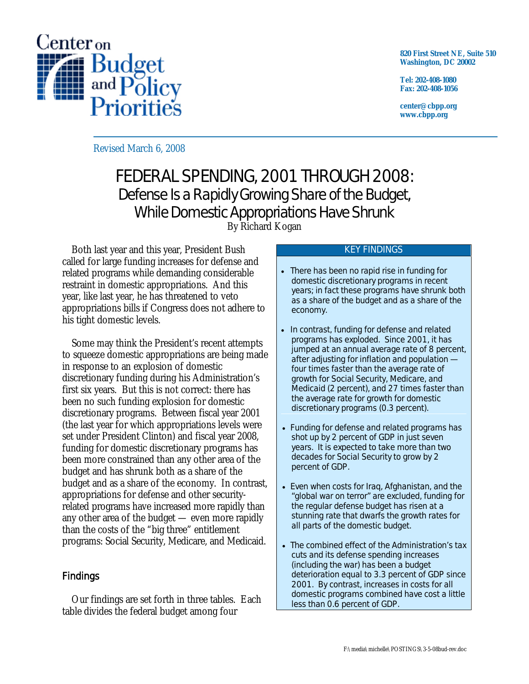

**820 First Street NE, Suite 510 Washington, DC 20002** 

**Tel: 202-408-1080 Fax: 202-408-1056** 

**center@cbpp.org www.cbpp.org** 

Revised March 6, 2008

# FEDERAL SPENDING, 2001 THROUGH 2008: Defense Is a Rapidly Growing Share of the Budget, While Domestic Appropriations Have Shrunk

By Richard Kogan

 Both last year and this year, President Bush called for large funding increases for defense and related programs while demanding considerable restraint in domestic appropriations. And this year, like last year, he has threatened to veto appropriations bills if Congress does not adhere to his tight domestic levels.

 Some may think the President's recent attempts to squeeze domestic appropriations are being made in response to an explosion of domestic discretionary funding during his Administration's first six years. But this is not correct: there has been no such funding explosion for domestic discretionary programs. Between fiscal year 2001 (the last year for which appropriations levels were set under President Clinton) and fiscal year 2008, funding for domestic discretionary programs has been more constrained than any other area of the budget and has shrunk both as a share of the budget and as a share of the economy. In contrast, appropriations for defense and other securityrelated programs have increased more rapidly than any other area of the budget — even more rapidly than the costs of the "big three" entitlement programs: Social Security, Medicare, and Medicaid.

## Findings

 Our findings are set forth in three tables. Each table divides the federal budget among four

#### KEY FINDINGS

- There has been no rapid rise in funding for domestic discretionary programs in recent years; in fact these programs have shrunk both as a share of the budget and as a share of the economy.
- In contrast, funding for defense and related programs has exploded. Since 2001, it has jumped at an annual average rate of 8 percent, after adjusting for inflation and population *four times faster* than the average rate of growth for Social Security, Medicare, and Medicaid (2 percent), and *27 times faster* than the average rate for growth for domestic discretionary programs (0.3 percent).
- Funding for defense and related programs has shot up by 2 percent of GDP in just seven years. It is expected to take more than two decades for Social Security to grow by 2 percent of GDP.
- Even when costs for Iraq, Afghanistan, and the "global war on terror" are excluded, funding for the regular defense budget has risen at a stunning rate that dwarfs the growth rates for all parts of the domestic budget.
- The combined effect of the Administration's tax cuts and its defense spending increases (including the war) has been a budget deterioration equal to 3.3 percent of GDP since 2001. By contrast, increases in costs for all domestic programs combined have cost a little less than 0.6 percent of GDP.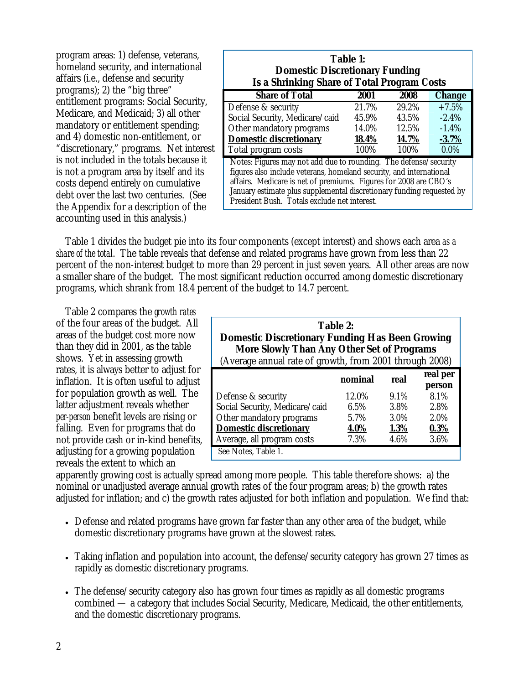program areas: 1) defense, veterans, homeland security, and international affairs (i.e., defense and security programs); 2) the "big three" entitlement programs: Social Security, Medicare, and Medicaid; 3) all other mandatory or entitlement spending; and 4) domestic non-entitlement, or "discretionary," programs. Net interest is not included in the totals because it is not a program area by itself and its costs depend entirely on cumulative debt over the last two centuries. (See the Appendix for a description of the accounting used in this analysis.)

| Table 1:<br><b>Domestic Discretionary Funding</b><br><b>Is a Shrinking Share of Total Program Costs</b>                                                                                                                                                                                                                              |             |       |               |  |  |  |
|--------------------------------------------------------------------------------------------------------------------------------------------------------------------------------------------------------------------------------------------------------------------------------------------------------------------------------------|-------------|-------|---------------|--|--|--|
| <b>Share of Total</b>                                                                                                                                                                                                                                                                                                                | <b>2001</b> | 2008  | <b>Change</b> |  |  |  |
| Defense & security                                                                                                                                                                                                                                                                                                                   | 21.7%       | 29.2% | $+7.5%$       |  |  |  |
| Social Security, Medicare/caid                                                                                                                                                                                                                                                                                                       | 45.9%       | 43.5% | $-2.4\%$      |  |  |  |
| Other mandatory programs                                                                                                                                                                                                                                                                                                             | 14.0%       | 12.5% | $-1.4%$       |  |  |  |
| <b>Domestic discretionary</b>                                                                                                                                                                                                                                                                                                        | 18.4%       | 14.7% | $-3.7%$       |  |  |  |
| Total program costs                                                                                                                                                                                                                                                                                                                  | 100%        | 100%  | $0.0\%$       |  |  |  |
| Notes: Figures may not add due to rounding. The defense/security<br>figures also include veterans, homeland security, and international<br>affairs. Medicare is net of premiums. Figures for 2008 are CBO's<br>January estimate plus supplemental discretionary funding requested by<br>President Bush. Totals exclude net interest. |             |       |               |  |  |  |

 Table 1 divides the budget pie into its four components (except interest) and shows each area *as a share of the total*. The table reveals that defense and related programs have grown from less than 22 percent of the non-interest budget to more than 29 percent in just seven years. All other areas are now a smaller share of the budget. The most significant reduction occurred among domestic discretionary programs, which shrank from 18.4 percent of the budget to 14.7 percent.

 Table 2 compares the *growth rates* of the four areas of the budget. All areas of the budget cost more now than they did in 2001, as the table shows. Yet in assessing growth rates, it is always better to adjust for inflation. It is often useful to adjust for population growth as well. The latter adjustment reveals whether *per-person* benefit levels are rising or falling. Even for programs that do not provide cash or in-kind benefits, adjusting for a growing population reveals the extent to which an

**Table 2: Domestic Discretionary Funding Has Been Growing More Slowly Than Any Other Set of Programs**  (Average annual rate of growth, from 2001 through 2008)

| . .                            |         |      |                    |
|--------------------------------|---------|------|--------------------|
|                                | nominal | real | real per<br>person |
| Defense & security             | 12.0%   | 9.1% | 8.1%               |
| Social Security, Medicare/caid | 6.5%    | 3.8% | 2.8%               |
| Other mandatory programs       | 5.7%    | 3.0% | 2.0%               |
| <b>Domestic discretionary</b>  | 4.0%    | 1.3% | 0.3%               |
| Average, all program costs     | 7.3%    | 4.6% | 3.6%               |
| See Notes, Table 1.            |         |      |                    |

apparently growing cost is actually spread among more people. This table therefore shows: a) the nominal or unadjusted average annual growth rates of the four program areas; b) the growth rates adjusted for inflation; and c) the growth rates adjusted for both inflation and population. We find that:

- Defense and related programs have grown far faster than any other area of the budget, while domestic discretionary programs have grown at the slowest rates.
- Taking inflation and population into account, the defense/security category has grown 27 times as rapidly as domestic discretionary programs.
- The defense/security category also has grown four times as rapidly as all domestic programs combined — a category that includes Social Security, Medicare, Medicaid, the other entitlements, and the domestic discretionary programs.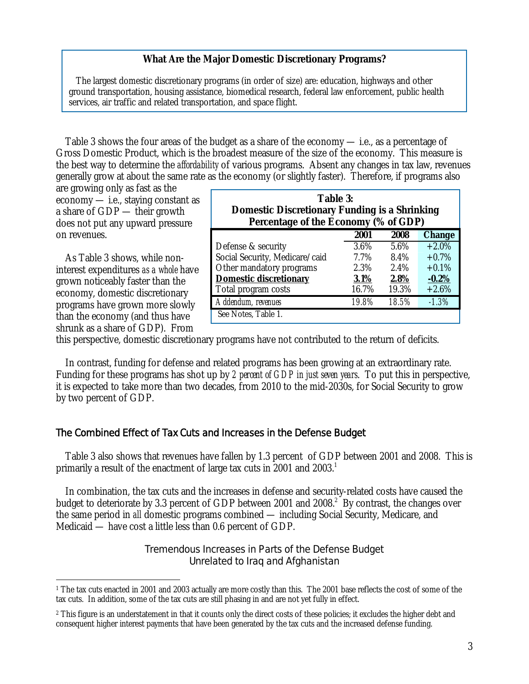#### **What Are the Major Domestic Discretionary Programs?**

 The largest domestic discretionary programs (in order of size) are: education, highways and other ground transportation, housing assistance, biomedical research, federal law enforcement, public health services, air traffic and related transportation, and space flight.

 Table 3 shows the four areas of the budget as a share of the economy — i.e., as a percentage of Gross Domestic Product, which is the broadest measure of the size of the economy. This measure is the best way to determine the *affordability* of various programs. Absent any changes in tax law, revenues generally grow at about the same rate as the economy (or slightly faster). Therefore, if programs also

are growing only as fast as the economy — i.e., staying constant as a share of GDP — their growth does not put any upward pressure on revenues.

 As Table 3 shows, while noninterest expenditures *as a whole* have grown noticeably faster than the economy, domestic discretionary programs have grown more slowly than the economy (and thus have shrunk as a share of GDP). From

 $\overline{a}$ 

| <b>Table 3:</b><br><b>Domestic Discretionary Funding is a Shrinking</b><br>Percentage of the Economy (% of GDP) |       |         |               |  |  |
|-----------------------------------------------------------------------------------------------------------------|-------|---------|---------------|--|--|
|                                                                                                                 | 2001  | 2008    | <b>Change</b> |  |  |
| Defense & security                                                                                              | 3.6%  | 5.6%    | $+2.0\%$      |  |  |
| Social Security, Medicare/caid                                                                                  | 7.7%  | 8.4%    | $+0.7\%$      |  |  |
| Other mandatory programs                                                                                        | 2.3%  | $2.4\%$ | $+0.1%$       |  |  |
| <b>Domestic discretionary</b>                                                                                   | 3.1%  | 2.8%    | $-0.2%$       |  |  |
| Total program costs                                                                                             | 16.7% | 19.3%   | $+2.6%$       |  |  |
| Addendum, revenues                                                                                              | 19.8% | 18.5%   | $-1.3\%$      |  |  |
| See Notes, Table 1.                                                                                             |       |         |               |  |  |

this perspective, domestic discretionary programs have not contributed to the return of deficits.

 In contrast, funding for defense and related programs has been growing at an extraordinary rate. Funding for these programs has shot up by *2 percent of GDP in just seven years*. To put this in perspective, it is expected to take more than two decades, from 2010 to the mid-2030s, for Social Security to grow by two percent of GDP.

#### The Combined Effect of Tax Cuts and Increases in the Defense Budget

 Table 3 also shows that revenues have fallen by 1.3 percent of GDP between 2001 and 2008. This is primarily a result of the enactment of large tax cuts in 2001 and 2003.<sup>1</sup>

 In combination, the tax cuts and the increases in defense and security-related costs have caused the budget to deteriorate by 3.3 percent of GDP between 2001 and 2008.<sup>2</sup> By contrast, the changes over the same period in *all* domestic programs combined — including Social Security, Medicare, and Medicaid — have cost a little less than 0.6 percent of GDP.

#### Tremendous Increases in Parts of the Defense Budget Unrelated to Iraq and Afghanistan

<sup>&</sup>lt;sup>1</sup> The tax cuts enacted in 2001 and 2003 actually are more costly than this. The 2001 base reflects the cost of some of the tax cuts. In addition, some of the tax cuts are still phasing in and are not yet fully in effect.

<sup>&</sup>lt;sup>2</sup> This figure is an understatement in that it counts only the direct costs of these policies; it excludes the higher debt and consequent higher interest payments that have been generated by the tax cuts and the increased defense funding.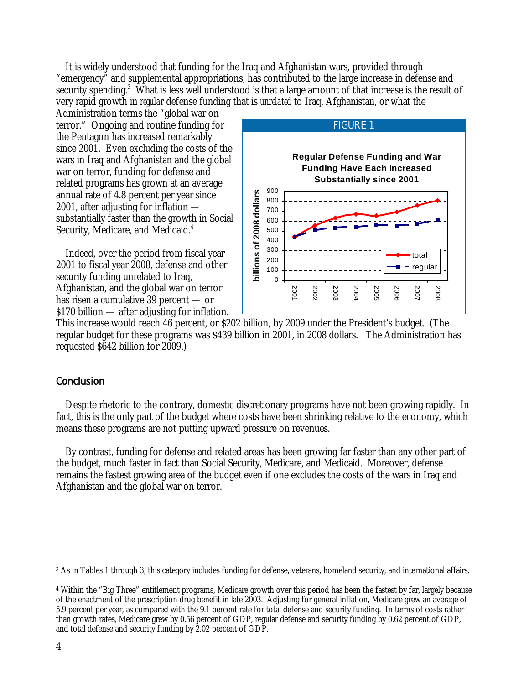It is widely understood that funding for the Iraq and Afghanistan wars, provided through "emergency" and supplemental appropriations, has contributed to the large increase in defense and security spending.<sup>3</sup> What is less well understood is that a large amount of that increase is the result of very rapid growth in *regular* defense funding that is *unrelated* to Iraq, Afghanistan, or what the

Administration terms the "global war on terror." Ongoing and routine funding for the Pentagon has increased remarkably since 2001. Even excluding the costs of the wars in Iraq and Afghanistan and the global war on terror, funding for defense and related programs has grown at an average annual rate of 4.8 percent per year since 2001, after adjusting for inflation substantially faster than the growth in Social Security, Medicare, and Medicaid.<sup>4</sup>

 Indeed, over the period from fiscal year 2001 to fiscal year 2008, defense and other security funding unrelated to Iraq, Afghanistan, and the global war on terror has risen a cumulative 39 percent — or \$170 billion — after adjusting for inflation.



This increase would reach 46 percent, or \$202 billion, by 2009 under the President's budget. (The regular budget for these programs was \$439 billion in 2001, in 2008 dollars. The Administration has requested \$642 billion for 2009.)

### **Conclusion**

 Despite rhetoric to the contrary, domestic discretionary programs have not been growing rapidly. In fact, this is the only part of the budget where costs have been shrinking relative to the economy, which means these programs are not putting upward pressure on revenues.

 By contrast, funding for defense and related areas has been growing far faster than any other part of the budget, much faster in fact than Social Security, Medicare, and Medicaid. Moreover, defense remains the fastest growing area of the budget even if one excludes the costs of the wars in Iraq and Afghanistan and the global war on terror.

 $\overline{a}$ 3 As in Tables 1 through 3, this category includes funding for defense, veterans, homeland security, and international affairs.

<sup>4</sup> Within the "Big Three" entitlement programs, Medicare growth over this period has been the fastest by far, largely because of the enactment of the prescription drug benefit in late 2003. Adjusting for general inflation, Medicare grew an average of 5.9 percent per year, as compared with the 9.1 percent rate for total defense and security funding. In terms of costs rather than growth rates, Medicare grew by 0.56 percent of GDP, regular defense and security funding by 0.62 percent of GDP, and total defense and security funding by 2.02 percent of GDP.